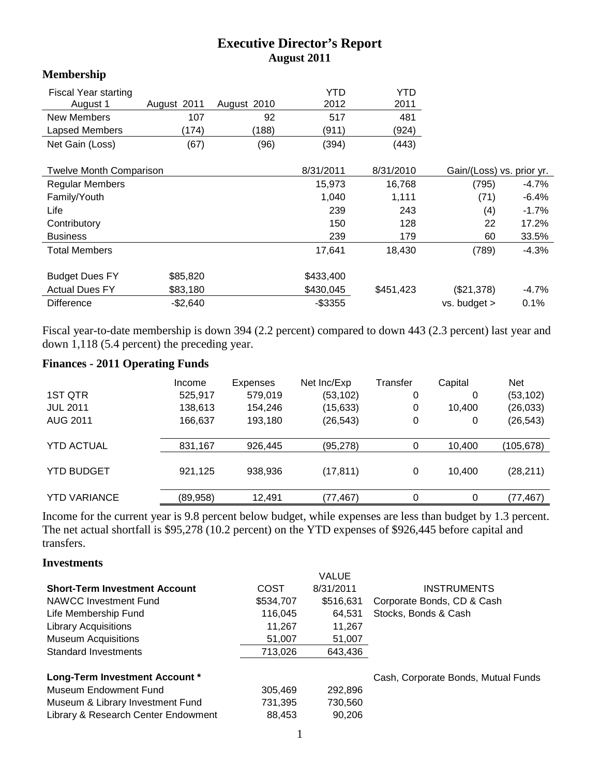# **Executive Director's Report August 2011**

## **Membership**

| <b>Fiscal Year starting</b>    |             |             | YTD        | YTD       |                           |          |
|--------------------------------|-------------|-------------|------------|-----------|---------------------------|----------|
| August 1                       | August 2011 | August 2010 | 2012       | 2011      |                           |          |
| New Members                    | 107         | 92          | 517        | 481       |                           |          |
| Lapsed Members                 | (174)       | (188)       | (911)      | (924)     |                           |          |
| Net Gain (Loss)                | (67)        | (96)        | (394)      | (443)     |                           |          |
|                                |             |             | 8/31/2011  | 8/31/2010 |                           |          |
| <b>Twelve Month Comparison</b> |             |             |            |           | Gain/(Loss) vs. prior yr. |          |
| <b>Regular Members</b>         |             |             | 15,973     | 16,768    | (795)                     | $-4.7\%$ |
| Family/Youth                   |             |             | 1,040      | 1,111     | (71)                      | $-6.4%$  |
| Life                           |             |             | 239        | 243       | (4)                       | $-1.7%$  |
| Contributory                   |             |             | 150        | 128       | 22                        | 17.2%    |
| <b>Business</b>                |             |             | 239        | 179       | 60                        | 33.5%    |
| <b>Total Members</b>           |             |             | 17,641     | 18,430    | (789)                     | $-4.3%$  |
| <b>Budget Dues FY</b>          | \$85,820    |             | \$433,400  |           |                           |          |
| <b>Actual Dues FY</b>          | \$83,180    |             | \$430,045  | \$451,423 | (\$21,378)                | $-4.7\%$ |
| <b>Difference</b>              | $-$2,640$   |             | $-$ \$3355 |           | vs. budget >              | 0.1%     |

Fiscal year-to-date membership is down 394 (2.2 percent) compared to down 443 (2.3 percent) last year and down 1,118 (5.4 percent) the preceding year.

# **Finances - 2011 Operating Funds**

| 1ST QTR<br><b>JUL 2011</b><br><b>AUG 2011</b> | Income<br>525,917<br>138,613<br>166,637 | <b>Expenses</b><br>579,019<br>154,246<br>193,180 | Net Inc/Exp<br>(53, 102)<br>(15, 633)<br>(26, 543) | Transfer<br>0<br>0<br>0 | Capital<br>0<br>10.400<br>0 | <b>Net</b><br>(53, 102)<br>(26, 033)<br>(26, 543) |
|-----------------------------------------------|-----------------------------------------|--------------------------------------------------|----------------------------------------------------|-------------------------|-----------------------------|---------------------------------------------------|
| <b>YTD ACTUAL</b>                             | 831,167                                 | 926.445                                          | (95, 278)                                          |                         | 10,400                      | (105,678)                                         |
| <b>YTD BUDGET</b>                             | 921,125                                 | 938,936                                          | (17, 811)                                          | 0                       | 10.400                      | (28, 211)                                         |
| <b>YTD VARIANCE</b>                           | (89, 958)                               | 12,491                                           | (77, 467)                                          | 0                       | 0                           | (77, 467)                                         |

Income for the current year is 9.8 percent below budget, while expenses are less than budget by 1.3 percent. The net actual shortfall is \$95,278 (10.2 percent) on the YTD expenses of \$926,445 before capital and transfers.

#### **Investments**

|                                      |           | <b>VALUE</b> |                                     |
|--------------------------------------|-----------|--------------|-------------------------------------|
| <b>Short-Term Investment Account</b> | COST      | 8/31/2011    | <b>INSTRUMENTS</b>                  |
| NAWCC Investment Fund                | \$534,707 | \$516,631    | Corporate Bonds, CD & Cash          |
| Life Membership Fund                 | 116.045   | 64,531       | Stocks, Bonds & Cash                |
| <b>Library Acquisitions</b>          | 11.267    | 11,267       |                                     |
| <b>Museum Acquisitions</b>           | 51,007    | 51,007       |                                     |
| Standard Investments                 | 713,026   | 643,436      |                                     |
| Long-Term Investment Account *       |           |              | Cash, Corporate Bonds, Mutual Funds |
| Museum Endowment Fund                | 305,469   | 292,896      |                                     |
| Museum & Library Investment Fund     | 731,395   | 730,560      |                                     |
| Library & Research Center Endowment  | 88,453    | 90.206       |                                     |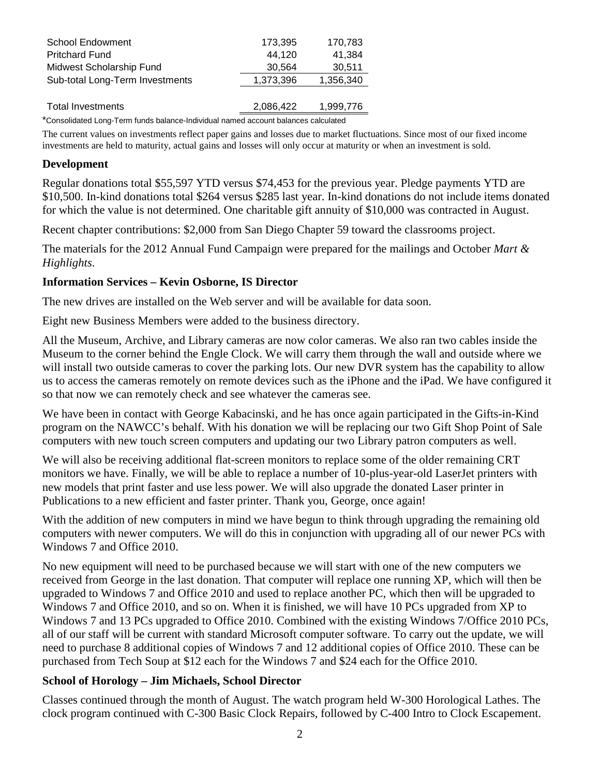| <b>School Endowment</b>         | 173,395   | 170,783   |
|---------------------------------|-----------|-----------|
| <b>Pritchard Fund</b>           | 44.120    | 41,384    |
| Midwest Scholarship Fund        | 30,564    | 30,511    |
| Sub-total Long-Term Investments | 1,373,396 | 1,356,340 |
|                                 |           |           |
| <b>Total Investments</b>        | 2,086,422 | 1,999,776 |
|                                 |           |           |

\*Consolidated Long-Term funds balance-Individual named account balances calculated

The current values on investments reflect paper gains and losses due to market fluctuations. Since most of our fixed income investments are held to maturity, actual gains and losses will only occur at maturity or when an investment is sold.

#### **Development**

Regular donations total \$55,597 YTD versus \$74,453 for the previous year. Pledge payments YTD are \$10,500. In-kind donations total \$264 versus \$285 last year. In-kind donations do not include items donated for which the value is not determined. One charitable gift annuity of \$10,000 was contracted in August.

Recent chapter contributions: \$2,000 from San Diego Chapter 59 toward the classrooms project.

The materials for the 2012 Annual Fund Campaign were prepared for the mailings and October *Mart & Highlights*.

### **Information Services – Kevin Osborne, IS Director**

The new drives are installed on the Web server and will be available for data soon.

Eight new Business Members were added to the business directory.

All the Museum, Archive, and Library cameras are now color cameras. We also ran two cables inside the Museum to the corner behind the Engle Clock. We will carry them through the wall and outside where we will install two outside cameras to cover the parking lots. Our new DVR system has the capability to allow us to access the cameras remotely on remote devices such as the iPhone and the iPad. We have configured it so that now we can remotely check and see whatever the cameras see.

We have been in contact with George Kabacinski, and he has once again participated in the Gifts-in-Kind program on the NAWCC's behalf. With his donation we will be replacing our two Gift Shop Point of Sale computers with new touch screen computers and updating our two Library patron computers as well.

We will also be receiving additional flat-screen monitors to replace some of the older remaining CRT monitors we have. Finally, we will be able to replace a number of 10-plus-year-old LaserJet printers with new models that print faster and use less power. We will also upgrade the donated Laser printer in Publications to a new efficient and faster printer. Thank you, George, once again!

With the addition of new computers in mind we have begun to think through upgrading the remaining old computers with newer computers. We will do this in conjunction with upgrading all of our newer PCs with Windows 7 and Office 2010.

No new equipment will need to be purchased because we will start with one of the new computers we received from George in the last donation. That computer will replace one running XP, which will then be upgraded to Windows 7 and Office 2010 and used to replace another PC, which then will be upgraded to Windows 7 and Office 2010, and so on. When it is finished, we will have 10 PCs upgraded from XP to Windows 7 and 13 PCs upgraded to Office 2010. Combined with the existing Windows 7/Office 2010 PCs, all of our staff will be current with standard Microsoft computer software. To carry out the update, we will need to purchase 8 additional copies of Windows 7 and 12 additional copies of Office 2010. These can be purchased from Tech Soup at \$12 each for the Windows 7 and \$24 each for the Office 2010.

## **School of Horology – Jim Michaels, School Director**

Classes continued through the month of August. The watch program held W-300 Horological Lathes. The clock program continued with C-300 Basic Clock Repairs, followed by C-400 Intro to Clock Escapement.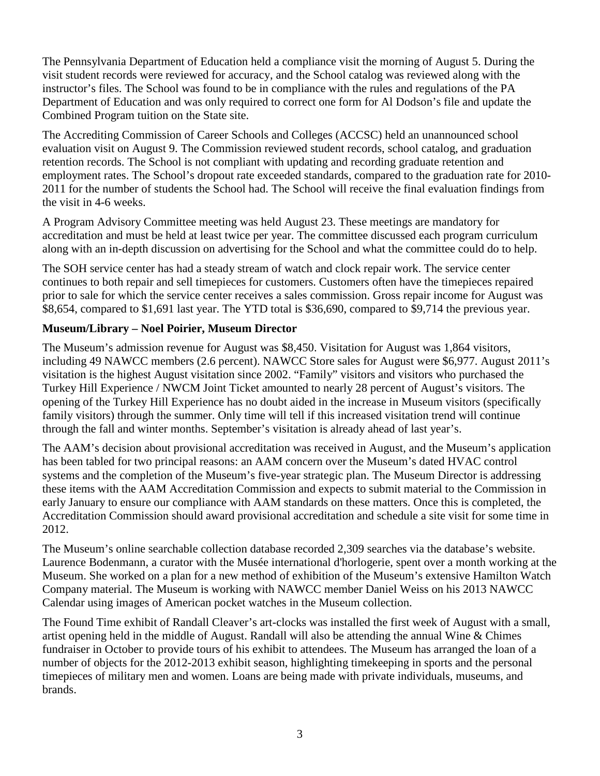The Pennsylvania Department of Education held a compliance visit the morning of August 5. During the visit student records were reviewed for accuracy, and the School catalog was reviewed along with the instructor's files. The School was found to be in compliance with the rules and regulations of the PA Department of Education and was only required to correct one form for Al Dodson's file and update the Combined Program tuition on the State site.

The Accrediting Commission of Career Schools and Colleges (ACCSC) held an unannounced school evaluation visit on August 9. The Commission reviewed student records, school catalog, and graduation retention records. The School is not compliant with updating and recording graduate retention and employment rates. The School's dropout rate exceeded standards, compared to the graduation rate for 2010- 2011 for the number of students the School had. The School will receive the final evaluation findings from the visit in 4-6 weeks.

A Program Advisory Committee meeting was held August 23. These meetings are mandatory for accreditation and must be held at least twice per year. The committee discussed each program curriculum along with an in-depth discussion on advertising for the School and what the committee could do to help.

The SOH service center has had a steady stream of watch and clock repair work. The service center continues to both repair and sell timepieces for customers. Customers often have the timepieces repaired prior to sale for which the service center receives a sales commission. Gross repair income for August was \$8,654, compared to \$1,691 last year. The YTD total is \$36,690, compared to \$9,714 the previous year.

## **Museum/Library – Noel Poirier, Museum Director**

The Museum's admission revenue for August was \$8,450. Visitation for August was 1,864 visitors, including 49 NAWCC members (2.6 percent). NAWCC Store sales for August were \$6,977. August 2011's visitation is the highest August visitation since 2002. "Family" visitors and visitors who purchased the Turkey Hill Experience / NWCM Joint Ticket amounted to nearly 28 percent of August's visitors. The opening of the Turkey Hill Experience has no doubt aided in the increase in Museum visitors (specifically family visitors) through the summer. Only time will tell if this increased visitation trend will continue through the fall and winter months. September's visitation is already ahead of last year's.

The AAM's decision about provisional accreditation was received in August, and the Museum's application has been tabled for two principal reasons: an AAM concern over the Museum's dated HVAC control systems and the completion of the Museum's five-year strategic plan. The Museum Director is addressing these items with the AAM Accreditation Commission and expects to submit material to the Commission in early January to ensure our compliance with AAM standards on these matters. Once this is completed, the Accreditation Commission should award provisional accreditation and schedule a site visit for some time in 2012.

The Museum's online searchable collection database recorded 2,309 searches via the database's website. Laurence Bodenmann, a curator with the Musée international d'horlogerie, spent over a month working at the Museum. She worked on a plan for a new method of exhibition of the Museum's extensive Hamilton Watch Company material. The Museum is working with NAWCC member Daniel Weiss on his 2013 NAWCC Calendar using images of American pocket watches in the Museum collection.

The Found Time exhibit of Randall Cleaver's art-clocks was installed the first week of August with a small, artist opening held in the middle of August. Randall will also be attending the annual Wine & Chimes fundraiser in October to provide tours of his exhibit to attendees. The Museum has arranged the loan of a number of objects for the 2012-2013 exhibit season, highlighting timekeeping in sports and the personal timepieces of military men and women. Loans are being made with private individuals, museums, and brands.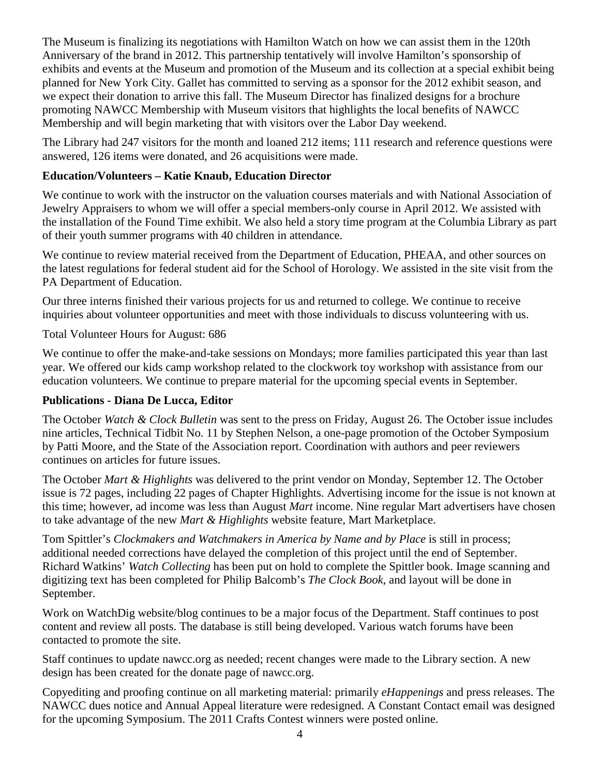The Museum is finalizing its negotiations with Hamilton Watch on how we can assist them in the 120th Anniversary of the brand in 2012. This partnership tentatively will involve Hamilton's sponsorship of exhibits and events at the Museum and promotion of the Museum and its collection at a special exhibit being planned for New York City. Gallet has committed to serving as a sponsor for the 2012 exhibit season, and we expect their donation to arrive this fall. The Museum Director has finalized designs for a brochure promoting NAWCC Membership with Museum visitors that highlights the local benefits of NAWCC Membership and will begin marketing that with visitors over the Labor Day weekend.

The Library had 247 visitors for the month and loaned 212 items; 111 research and reference questions were answered, 126 items were donated, and 26 acquisitions were made.

# **Education/Volunteers – Katie Knaub, Education Director**

We continue to work with the instructor on the valuation courses materials and with National Association of Jewelry Appraisers to whom we will offer a special members-only course in April 2012. We assisted with the installation of the Found Time exhibit. We also held a story time program at the Columbia Library as part of their youth summer programs with 40 children in attendance.

We continue to review material received from the Department of Education, PHEAA, and other sources on the latest regulations for federal student aid for the School of Horology. We assisted in the site visit from the PA Department of Education.

Our three interns finished their various projects for us and returned to college. We continue to receive inquiries about volunteer opportunities and meet with those individuals to discuss volunteering with us.

Total Volunteer Hours for August: 686

We continue to offer the make-and-take sessions on Mondays; more families participated this year than last year. We offered our kids camp workshop related to the clockwork toy workshop with assistance from our education volunteers. We continue to prepare material for the upcoming special events in September.

# **Publications - Diana De Lucca, Editor**

The October *Watch & Clock Bulletin* was sent to the press on Friday, August 26. The October issue includes nine articles, Technical Tidbit No. 11 by Stephen Nelson, a one-page promotion of the October Symposium by Patti Moore, and the State of the Association report. Coordination with authors and peer reviewers continues on articles for future issues.

The October *Mart & Highlights* was delivered to the print vendor on Monday, September 12. The October issue is 72 pages, including 22 pages of Chapter Highlights. Advertising income for the issue is not known at this time; however, ad income was less than August *Mart* income. Nine regular Mart advertisers have chosen to take advantage of the new *Mart & Highlights* website feature, Mart Marketplace.

Tom Spittler's *Clockmakers and Watchmakers in America by Name and by Place* is still in process; additional needed corrections have delayed the completion of this project until the end of September. Richard Watkins' *Watch Collecting* has been put on hold to complete the Spittler book. Image scanning and digitizing text has been completed for Philip Balcomb's *The Clock Book*, and layout will be done in September.

Work on WatchDig website/blog continues to be a major focus of the Department. Staff continues to post content and review all posts. The database is still being developed. Various watch forums have been contacted to promote the site.

Staff continues to update nawcc.org as needed; recent changes were made to the Library section. A new design has been created for the donate page of nawcc.org.

Copyediting and proofing continue on all marketing material: primarily *eHappenings* and press releases. The NAWCC dues notice and Annual Appeal literature were redesigned. A Constant Contact email was designed for the upcoming Symposium. The 2011 Crafts Contest winners were posted online.